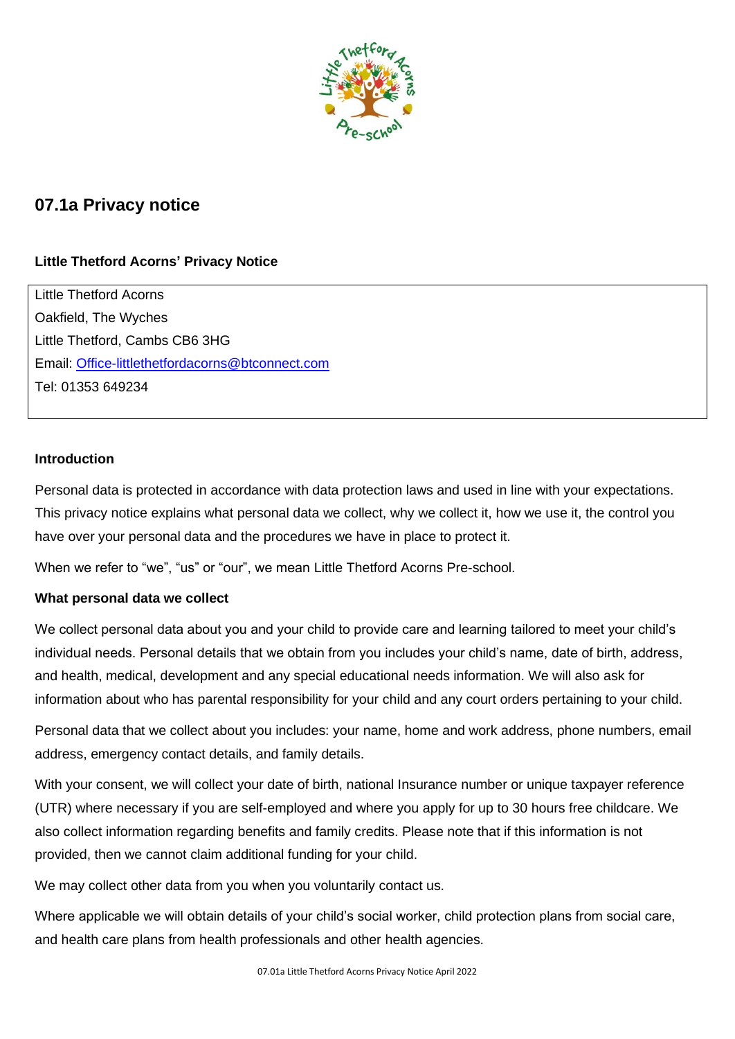

# **07.1a Privacy notice**

# **Little Thetford Acorns' Privacy Notice**

Little Thetford Acorns Oakfield, The Wyches Little Thetford, Cambs CB6 3HG Email: [Office-littlethetfordacorns@btconnect.com](mailto:Office-littlethetfordacorns@btconnect.com) Tel: 01353 649234

## **Introduction**

Personal data is protected in accordance with data protection laws and used in line with your expectations. This privacy notice explains what personal data we collect, why we collect it, how we use it, the control you have over your personal data and the procedures we have in place to protect it.

When we refer to "we", "us" or "our", we mean Little Thetford Acorns Pre-school.

### **What personal data we collect**

We collect personal data about you and your child to provide care and learning tailored to meet your child's individual needs. Personal details that we obtain from you includes your child's name, date of birth, address, and health, medical, development and any special educational needs information. We will also ask for information about who has parental responsibility for your child and any court orders pertaining to your child.

Personal data that we collect about you includes: your name, home and work address, phone numbers, email address, emergency contact details, and family details.

With your consent, we will collect your date of birth, national Insurance number or unique taxpayer reference (UTR) where necessary if you are self-employed and where you apply for up to 30 hours free childcare. We also collect information regarding benefits and family credits. Please note that if this information is not provided, then we cannot claim additional funding for your child.

We may collect other data from you when you voluntarily contact us.

Where applicable we will obtain details of your child's social worker, child protection plans from social care, and health care plans from health professionals and other health agencies.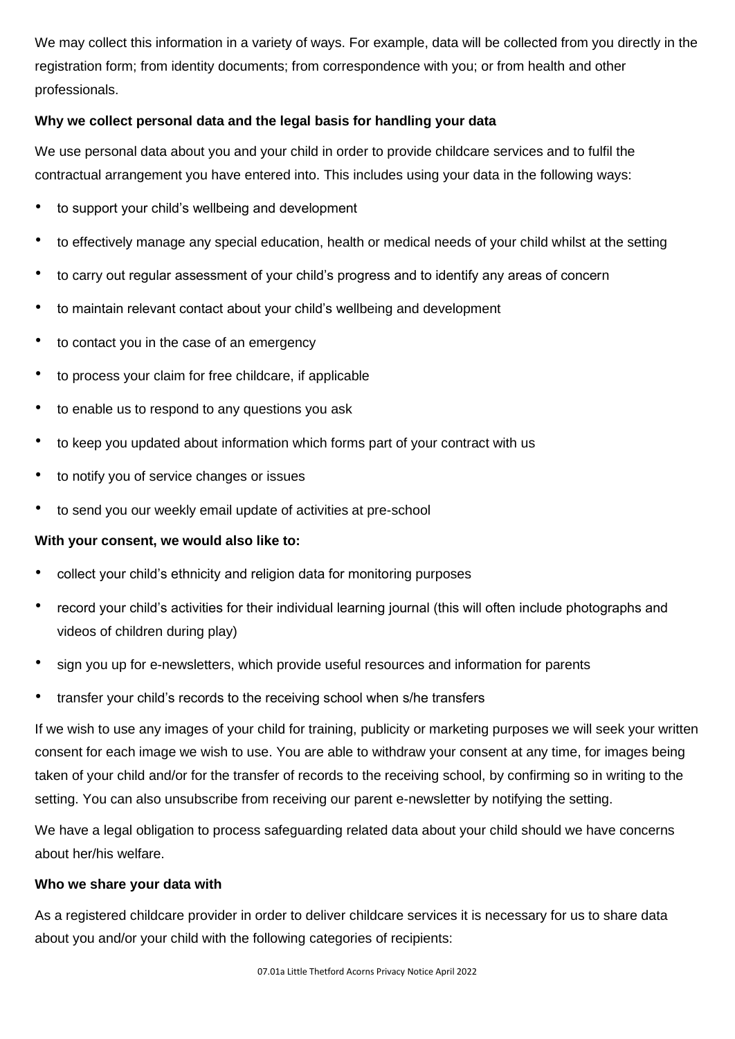We may collect this information in a variety of ways. For example, data will be collected from you directly in the registration form; from identity documents; from correspondence with you; or from health and other professionals.

# **Why we collect personal data and the legal basis for handling your data**

We use personal data about you and your child in order to provide childcare services and to fulfil the contractual arrangement you have entered into. This includes using your data in the following ways:

- to support your child's wellbeing and development
- to effectively manage any special education, health or medical needs of your child whilst at the setting
- to carry out regular assessment of your child's progress and to identify any areas of concern
- to maintain relevant contact about your child's wellbeing and development
- to contact you in the case of an emergency
- to process your claim for free childcare, if applicable
- to enable us to respond to any questions you ask
- to keep you updated about information which forms part of your contract with us
- to notify you of service changes or issues
- to send you our weekly email update of activities at pre-school

# **With your consent, we would also like to:**

- collect your child's ethnicity and religion data for monitoring purposes
- record your child's activities for their individual learning journal (this will often include photographs and videos of children during play)
- sign you up for e-newsletters, which provide useful resources and information for parents
- transfer your child's records to the receiving school when s/he transfers

If we wish to use any images of your child for training, publicity or marketing purposes we will seek your written consent for each image we wish to use. You are able to withdraw your consent at any time, for images being taken of your child and/or for the transfer of records to the receiving school, by confirming so in writing to the setting. You can also unsubscribe from receiving our parent e-newsletter by notifying the setting.

We have a legal obligation to process safeguarding related data about your child should we have concerns about her/his welfare.

# **Who we share your data with**

As a registered childcare provider in order to deliver childcare services it is necessary for us to share data about you and/or your child with the following categories of recipients: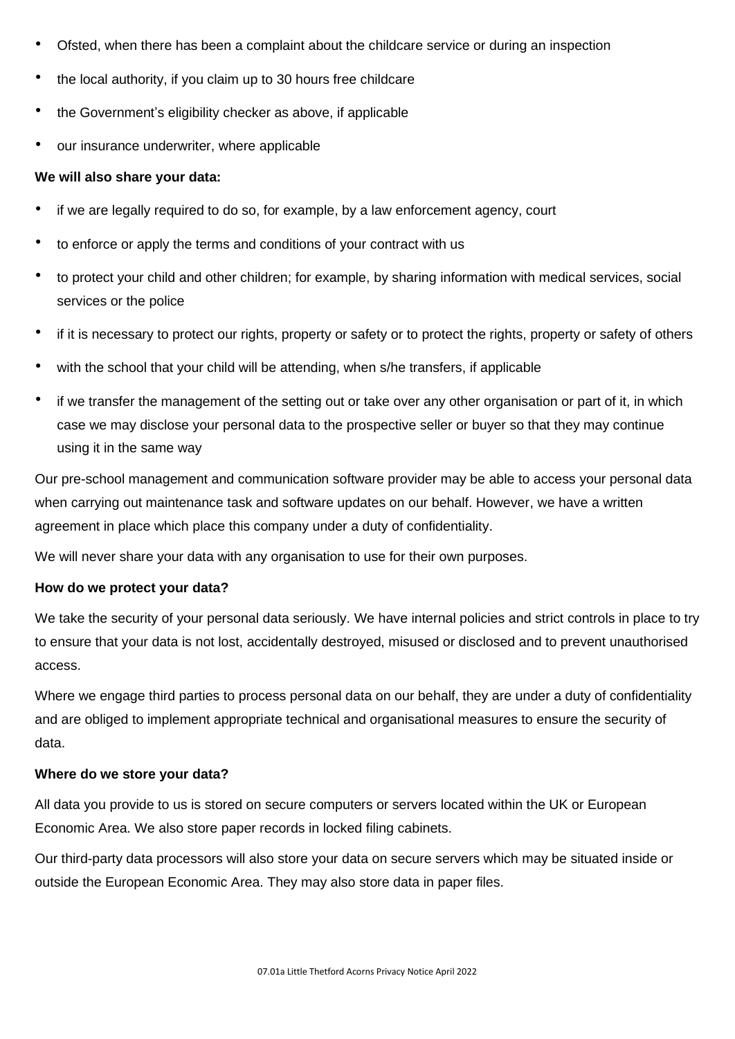- Ofsted, when there has been a complaint about the childcare service or during an inspection
- the local authority, if you claim up to 30 hours free childcare
- the Government's eligibility checker as above, if applicable
- our insurance underwriter, where applicable

## **We will also share your data:**

- if we are legally required to do so, for example, by a law enforcement agency, court
- to enforce or apply the terms and conditions of your contract with us
- to protect your child and other children; for example, by sharing information with medical services, social services or the police
- if it is necessary to protect our rights, property or safety or to protect the rights, property or safety of others
- with the school that your child will be attending, when s/he transfers, if applicable
- if we transfer the management of the setting out or take over any other organisation or part of it, in which case we may disclose your personal data to the prospective seller or buyer so that they may continue using it in the same way

Our pre-school management and communication software provider may be able to access your personal data when carrying out maintenance task and software updates on our behalf. However, we have a written agreement in place which place this company under a duty of confidentiality.

We will never share your data with any organisation to use for their own purposes.

### **How do we protect your data?**

We take the security of your personal data seriously. We have internal policies and strict controls in place to try to ensure that your data is not lost, accidentally destroyed, misused or disclosed and to prevent unauthorised access.

Where we engage third parties to process personal data on our behalf, they are under a duty of confidentiality and are obliged to implement appropriate technical and organisational measures to ensure the security of data.

### **Where do we store your data?**

All data you provide to us is stored on secure computers or servers located within the UK or European Economic Area. We also store paper records in locked filing cabinets.

Our third-party data processors will also store your data on secure servers which may be situated inside or outside the European Economic Area. They may also store data in paper files.